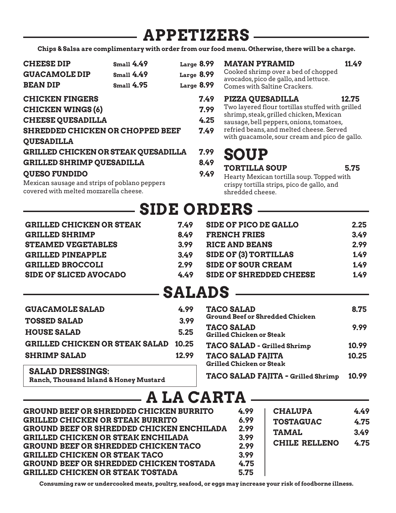## **APPETIZERS**

**Chips & Salsa are complimentary with order from our food menu. Otherwise, there will be a charge.**

| <b>CHEESE DIP</b><br><b>GUACAMOLE DIP</b><br><b>BEAN DIP</b>                                                                                                                                      | <b>Small 4.49</b><br><b>Small 4.49</b><br><b>Small 4.95</b> | Large 8.99<br>Large 8.99<br>Large $8.99$ | <b>MAYAN PYRAMID</b><br>11.49<br>Cooked shrimp over a bed of chopped<br>avocados, pico de gallo, and lettuce.<br>Comes with Saltine Crackers.                                                                                                                            |
|---------------------------------------------------------------------------------------------------------------------------------------------------------------------------------------------------|-------------------------------------------------------------|------------------------------------------|--------------------------------------------------------------------------------------------------------------------------------------------------------------------------------------------------------------------------------------------------------------------------|
| <b>CHICKEN FINGERS</b><br><b>CHICKEN WINGS (6)</b><br><b>CHEESE QUESADILLA</b><br><b>SHREDDED CHICKEN OR CHOPPED BEEF</b><br><b>QUESADILLA</b>                                                    |                                                             | 7.49<br>7.99<br>4.25<br>7.49             | <b>PIZZA QUESADILLA</b><br>12.75<br>Two layered flour tortillas stuffed with grilled<br>shrimp, steak, grilled chicken, Mexican<br>sausage, bell peppers, onions, tomatoes,<br>refried beans, and melted cheese. Served<br>with guacamole, sour cream and pico de gallo. |
| <b>GRILLED CHICKEN OR STEAK QUESADILLA</b><br><b>GRILLED SHRIMP QUESADILLA</b><br><b>QUESO FUNDIDO</b><br>Mexican sausage and strips of poblano peppers<br>covered with melted mozzarella cheese. |                                                             | 7.99<br>8.49<br>9.49                     | <b>SOUP</b><br><b>TORTILLA SOUP</b><br>5.75<br>Hearty Mexican tortilla soup. Topped with<br>crispy tortilla strips, pico de gallo, and<br>shredded cheese.                                                                                                               |
|                                                                                                                                                                                                   |                                                             |                                          | eine Adnede                                                                                                                                                                                                                                                              |

| <b>SIDE ORDERS</b>              |      |                                |      |  |
|---------------------------------|------|--------------------------------|------|--|
| <b>GRILLED CHICKEN OR STEAK</b> | 7.49 | <b>SIDE OF PICO DE GALLO</b>   | 2.25 |  |
| <b>GRILLED SHRIMP</b>           | 8.49 | <b>FRENCH FRIES</b>            | 3.49 |  |
| <b>STEAMED VEGETABLES</b>       | 3.99 | <b>RICE AND BEANS</b>          | 2.99 |  |
| <b>GRILLED PINEAPPLE</b>        | 3.49 | <b>SIDE OF (3) TORTILLAS</b>   | 1.49 |  |
| <b>GRILLED BROCCOLI</b>         | 2.99 | <b>SIDE OF SOUR CREAM</b>      | 1.49 |  |
| <b>SIDE OF SLICED AVOCADO</b>   | 4.49 | <b>SIDE OF SHREDDED CHEESE</b> | 1.49 |  |

## **SALADS**

| <b>GUACAMOLE SALAD</b>                                            | 4.99  | <b>TACO SALAD</b>                                           | 8.75  |
|-------------------------------------------------------------------|-------|-------------------------------------------------------------|-------|
| <b>TOSSED SALAD</b>                                               | 3.99  | <b>Ground Beef or Shredded Chicken</b>                      |       |
| <b>HOUSE SALAD</b>                                                | 5.25  | <b>TACO SALAD</b><br><b>Grilled Chicken or Steak</b>        | 9.99  |
| <b>GRILLED CHICKEN OR STEAK SALAD</b>                             | 10.25 | TACO SALAD - Grilled Shrimp                                 | 10.99 |
| <b>SHRIMP SALAD</b>                                               | 12.99 | <b>TACO SALAD FAJITA</b><br><b>Grilled Chicken or Steak</b> | 10.25 |
| <b>SALAD DRESSINGS:</b><br>Danah Thanasand Island 0 Hanan Mustand |       | TACO SALAD FAJITA - Grilled Shrimp                          | 10.99 |

**Ranch, Thousand Island & Honey Mustard**

## **A LA CARTA**

| <b>GROUND BEEF OR SHREDDED CHICKEN BURRITO</b><br><b>GRILLED CHICKEN OR STEAK BURRITO</b><br><b>GROUND BEEF OR SHREDDED CHICKEN ENCHILADA</b><br><b>GRILLED CHICKEN OR STEAK ENCHILADA</b><br><b>GROUND BEEF OR SHREDDED CHICKEN TACO</b><br><b>GRILLED CHICKEN OR STEAK TACO</b><br><b>GROUND BEEF OR SHREDDED CHICKEN TOSTADA</b><br><b>GRILLED CHICKEN OR STEAK TOSTADA</b> | 4.99<br>6.99<br>2.99<br>3.99<br>2.99<br>3.99<br>4.75<br>5.75 | <b>CHALUPA</b><br><b>TOSTAGUAC</b><br><b>TAMAL</b><br>CHILE RELLENO | 4.49<br>4.75<br>3.49<br>4.75 |
|--------------------------------------------------------------------------------------------------------------------------------------------------------------------------------------------------------------------------------------------------------------------------------------------------------------------------------------------------------------------------------|--------------------------------------------------------------|---------------------------------------------------------------------|------------------------------|
|--------------------------------------------------------------------------------------------------------------------------------------------------------------------------------------------------------------------------------------------------------------------------------------------------------------------------------------------------------------------------------|--------------------------------------------------------------|---------------------------------------------------------------------|------------------------------|

**Consuming raw or undercooked meats, poultry, seafood, or eggs may increase your risk of foodborne illness.**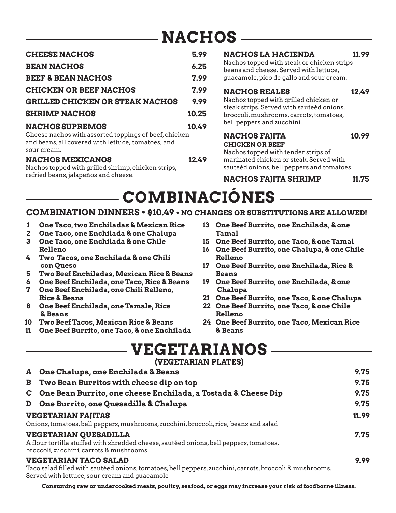## **NACHOS**

| <b>CHEESE NACHOS</b>                                                                                                                                 | 5.99  |
|------------------------------------------------------------------------------------------------------------------------------------------------------|-------|
| <b>BEAN NACHOS</b>                                                                                                                                   | 6.25  |
| <b>BEEF &amp; BEAN NACHOS</b>                                                                                                                        | 7.99  |
| <b>CHICKEN OR BEEF NACHOS</b>                                                                                                                        | 7.99  |
| <b>GRILLED CHICKEN OR STEAK NACHOS</b>                                                                                                               | 9.99  |
| <b>SHRIMP NACHOS</b>                                                                                                                                 | 10.25 |
| <b>NACHOS SUPREMOS</b><br>Cheese nachos with assorted toppings of beef, chicken<br>and beans, all covered with lettuce, tomatoes, and<br>sour cream. | 10.49 |
| <b>NACHOS MEXICANOS</b><br>Nachos topped with grilled shrimp shielsen strips                                                                         | 12.49 |

Nachos topped with grilled shrimp, chicken strips, refried beans, jalapeños and cheese.

### **NACHOS LA HACIENDA 11.99**

Nachos topped with steak or chicken strips beans and cheese. Served with lettuce, guacamole, pico de gallo and sour cream.

#### **NACHOS REALES 12.49**

Nachos topped with grilled chicken or steak strips. Served with sauteéd onions, broccoli, mushrooms, carrots, tomatoes, bell peppers and zucchini.

#### **NACHOS FAJITA 10.99 CHICKEN OR BEEF**

Nachos topped with tender strips of marinated chicken or steak. Served with sauteéd onions, bell peppers and tomatoes.

**NACHOS FAJITA SHRIMP 11.75**

## **COMBINACIÓNES**

### **COMBINATION DINNERS • \$10.49 • NO CHANGES OR SUBSTITUTIONS ARE ALLOWED!**

- **1 One Taco, two Enchiladas & Mexican Rice**
- **2 One Taco, one Enchilada & one Chalupa**
- **3 One Taco, one Enchilada & one Chile Relleno**
- **4 Two Tacos, one Enchilada & one Chili con Queso**
- **5 Two Beef Enchiladas, Mexican Rice & Beans**
- **6 One Beef Enchilada, one Taco, Rice & Beans**
- **7 One Beef Enchilada, one Chili Relleno, Rice & Beans**
- **8 One Beef Enchilada, one Tamale, Rice & Beans**
- **10 Two Beef Tacos, Mexican Rice & Beans**
- **11 One Beef Burrito, one Taco, & one Enchilada**
- **13 One Beef Burrito, one Enchilada, & one Tamal**
- **15 One Beef Burrito, one Taco, & one Tamal**
- **16 One Beef Burrito, one Chalupa, & one Chile Relleno**
- **17 One Beef Burrito, one Enchilada, Rice & Beans**
- **19 One Beef Burrito, one Enchilada, & one Chalupa**
- **21 One Beef Burrito, one Taco, & one Chalupa**
- **22 One Beef Burrito, one Taco, & one Chile Relleno**
- **24 One Beef Burrito, one Taco, Mexican Rice & Beans**

| <b>VEGETARIANOS</b>       |  |
|---------------------------|--|
| $(37T$ CRTADIANI DI ATROV |  |

|    | (VEGETARIAN PLATES)                                                                                                                                                                      |       |
|----|------------------------------------------------------------------------------------------------------------------------------------------------------------------------------------------|-------|
| A  | One Chalupa, one Enchilada & Beans                                                                                                                                                       | 9.75  |
| B  | Two Bean Burritos with cheese dip on top                                                                                                                                                 | 9.75  |
| C. | One Bean Burrito, one cheese Enchilada, a Tostada & Cheese Dip                                                                                                                           | 9.75  |
| D  | One Burrito, one Quesadilla & Chalupa                                                                                                                                                    | 9.75  |
|    | <b>VEGETARIAN FAJITAS</b>                                                                                                                                                                | 11.99 |
|    | Onions, tomatoes, bell peppers, mushrooms, zucchini, broccoli, rice, beans and salad                                                                                                     |       |
|    | <b>VEGETARIAN QUESADILLA</b><br>A flour tortilla stuffed with shredded cheese, sautéed onions, bell peppers, tomatoes,<br>broccoli, zucchini, carrots & mushrooms                        | 7.75  |
|    | <b>VEGETARIAN TACO SALAD</b><br>Taco salad filled with sautéed onions, tomatoes, bell peppers, zucchini, carrots, broccoli & mushrooms.<br>Served with lettuce, sour cream and quacamole | 9.99  |

**Consuming raw or undercooked meats, poultry, seafood, or eggs may increase your risk of foodborne illness.**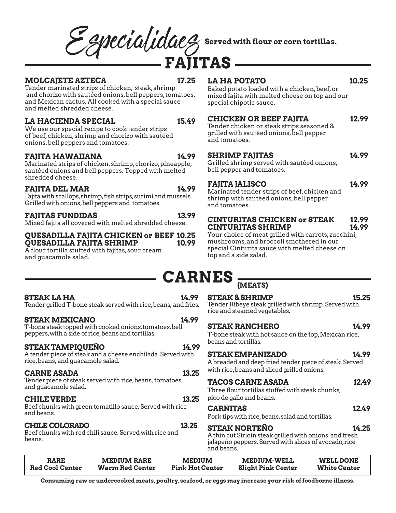# Effecial idac<sup>2</sup> Served with flour or corn tortillas.

#### **MOLCAJETE AZTECA 17.25**

**14.99**

**13.99**

Tender marinated strips of chicken, steak, shrimp and chorizo with sautéed onions, bell peppers, tomatoes, and Mexican cactus. All cooked with a special sauce and melted shredded cheese.

#### **LA HACIENDA SPECIAL 15.49**

We use our special recipe to cook tender strips of beef, chicken, shrimp and chorizo with sautéed onions, bell peppers and tomatoes.

#### **FAJITA HAWAIIANA**

 **14.99** Marinated strips of chicken, shrimp, chorizo, pineapple, sautéed onions and bell peppers. Topped with melted shredded cheese.

#### **FAJITA DEL MAR**

Fajita with scallops, shrimp, fish strips, surimi and mussels. Grilled with onions, bell peppers and tomatoes. 

#### **FAJITAS FUNDIDAS**

Mixed fajita all covered with melted shredded cheese.

#### **QUESADILLA FAJITA CHICKEN or BEEF 10.25 10.99**

**QUESADILLA FAJITA SHRIMP** A flour tortilla stuffed with fajitas, sour cream and guacamole salad.

### **LA HA POTATO 10.25**

Baked potato loaded with a chicken, beef, or mixed fajita with melted cheese on top and our special chipotle sauce.

### **CHICKEN OR BEEF FAJITA 12.99**

Tender chicken or steak strips seasoned & grilled with sautéed onions, bell pepper and tomatoes.

#### **SHRIMP FAJITAS**

Grilled shrimp served with sautéed onions, . bell pepper and tomatoes.

#### **FAJITA JALISCO**

Marinated tender strips of beef, chicken and shrimp with sautéed onions, bell pepper and tomatoes.

#### **CINTURITAS CHICKEN or STEAK 14.99 12.99 CINTURITAS SHRIMP**

Your choice of meat grilled with carrots, zucchini, mushrooms, and broccoli smothered in our special Cinturita sauce with melted cheese on top and a side salad.

## **CARNES (MEATS)**

**STEAK LA HA 14.99** Tender grilled T-bone steak served with rice, beans, and fries.

#### **STEAK MEXICANO** 14.99

T-bone steak topped with cooked onions, tomatoes, bell peppers, with a side of rice, beans and tortillas.

#### **STEAK TAMPIQUENO** 14.99

A tender piece of steak and a cheese enchilada. Served with rice, beans, and guacamole salad.

#### **CARNE ASADA 13.25**

Tender piece of steak served with rice, beans, tomatoes, and guacamole salad.

#### **CHILE VERDE 13.25**

Beef chunks with green tomatillo sauce. Served with rice and beans.

#### **CHILE COLORADO 13.25**

Beef chunks with red chili sauce. Served with rice and beans.

**STEAK & SHRIMP 15.25** Tender Ribeye steak grilled with shrimp. Served with rice and steamed vegetables.

#### **STEAK RANCHERO 14.99**

T-bone steak with hot sauce on the top, Mexican rice, beans and tortillas.

#### **STEAK EMPANIZADO 14.99**

A breaded and deep fried tender piece of steak. Served with rice, beans and sliced grilled onions.

| <b>TACOS CARNE ASADA</b>                        | 12.49 |
|-------------------------------------------------|-------|
| Three flour tortillas stuffed with steak chunks |       |

ir tortillas stuffed with steak chunks, pico de gallo and beans.

#### **CARNITAS 12.49**

Pork tips with rice, beans, salad and tortillas.

#### **STEAK NORTEÑO 14.25**

A thin cut Sirloin steak grilled with onions and fresh jalapeño peppers. Served with slices of avocado, rice and beans.

| <b>RARE</b>            | <b>MEDIUM RARE</b>     | <b>MEDIUM</b>          | <b>MEDIUM-WELL</b>        | <b>WELL DONE</b>    |
|------------------------|------------------------|------------------------|---------------------------|---------------------|
| <b>Red Cool Center</b> | <b>Warm Red Center</b> | <b>Pink Hot Center</b> | <b>Slight Pink Center</b> | <b>White Center</b> |

**Consuming raw or undercooked meats, poultry, seafood, or eggs may increase your risk of foodborne illness.**



**14.99**

**14.99**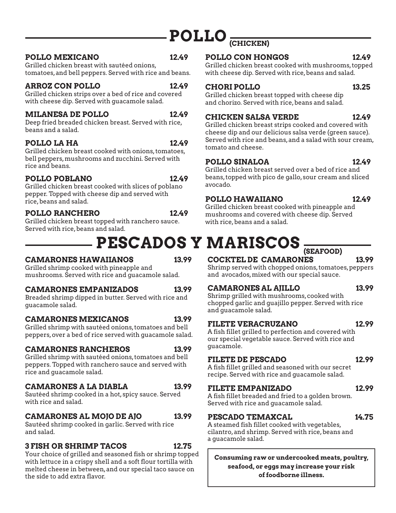## **POLLO (CHICKEN)**

#### POLLO MEXICANO 12.49

Grilled chicken breast with sautéed onions, tomatoes, and bell peppers. Served with rice and beans.

#### **ARROZ CON POLLO 12.49**

Grilled chicken strips over a bed of rice and covered with cheese dip. Served with guacamole salad.

#### **MILANESA DE POLLO 12.49**

Deep fried breaded chicken breast. Served with rice, beans and a salad.

#### **POLLO LA HA 12.49**

Grilled chicken breast cooked with onions, tomatoes, bell peppers, mushrooms and zucchini. Served with rice and beans.

#### POLLO POBLANO 12.49

Grilled chicken breast cooked with slices of poblano pepper. Topped with cheese dip and served with rice, beans and salad.

#### POLLO RANCHERO 12.49

Grilled chicken breast topped with ranchero sauce. Served with rice, beans and salad.

## **PESCADOS Y MARISCOS**

#### **CAMARONES HAWAIIANOS 13.99**

Grilled shrimp cooked with pineapple and mushrooms. Served with rice and guacamole salad.

#### **CAMARONES EMPANIZADOS 13.99**

Breaded shrimp dipped in butter. Served with rice and guacamole salad.

#### **CAMARONES MEXICANOS 13.99**

Grilled shrimp with sautéed onions, tomatoes and bell peppers, over a bed of rice served with guacamole salad.

#### **CAMARONES RANCHEROS 13.99**

Grilled shrimp with sautéed onions, tomatoes and bell peppers. Topped with ranchero sauce and served with rice and guacamole salad.

#### **CAMARONES A LA DIABLA 13.99**

Sautéed shrimp cooked in a hot, spicy sauce. Served with rice and salad.

### **CAMARONES AL MOJO DE AJO 13.99**

Sautéed shrimp cooked in garlic. Served with rice and salad.

#### **3 FISH OR SHRIMP TACOS 12.75**

Your choice of grilled and seasoned fish or shrimp topped with lettuce in a crispy shell and a soft flour tortilla with melted cheese in between, and our special taco sauce on the side to add extra flavor.

#### POLLO CON HONGOS 12.49

Grilled chicken breast cooked with mushrooms, topped with cheese dip. Served with rice, beans and salad.

#### **CHORI POLLO 13.25**

Grilled chicken breast topped with cheese dip and chorizo. Served with rice, beans and salad.

### **CHICKEN SALSA VERDE 12.49**

Grilled chicken breast strips cooked and covered with cheese dip and our delicious salsa verde (green sauce). Served with rice and beans, and a salad with sour cream, tomato and cheese.

#### **POLLO SINALOA 12.49**

Grilled chicken breast served over a bed of rice and beans, topped with pico de gallo, sour cream and sliced avocado.

### **POLLO HAWAIIANO 12.49**

Grilled chicken breast cooked with pineapple and mushrooms and covered with cheese dip. Served with rice, beans and a salad.

## **(SEAFOOD)**

### **COCKTEL DE CAMARONES 13.99**

Shrimp served with chopped onions, tomatoes, peppers and avocados, mixed with our special sauce.

### **CAMARONES AL AJILLO 13.99**

Shrimp grilled with mushrooms, cooked with chopped garlic and guajillo pepper. Served with rice and guacamole salad.

#### **FILETE VERACRUZANO 12.99**

A fish fillet grilled to perfection and covered with our special vegetable sauce. Served with rice and guacamole.

#### **FILETE DE PESCADO 12.99**

A fish fillet grilled and seasoned with our secret recipe. Served with rice and guacamole salad.

### **FILETE EMPANIZADO 12.99**

A fish fillet breaded and fried to a golden brown. Served with rice and guacamole salad.

### PESCADO TEMAXCAL 14.75

A steamed fish fillet cooked with vegetables, cilantro, and shrimp. Served with rice, beans and a guacamole salad.

**Consuming raw or undercooked meats, poultry, seafood, or eggs may increase your risk of foodborne illness.**



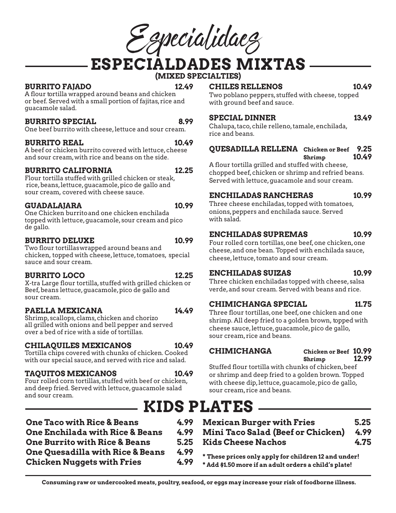Especialidaes

**ESPECIALDADES MIXTAS**

**(MIXED SPECIALTIES)**

#### **BURRITO FAJADO 12.49**

A flour tortilla wrapped around beans and chicken or beef. Served with a small portion of fajitas, rice and

#### **BURRITO SPECIAL 8.99**

One beef burrito with cheese, lettuce and sour cream.

#### **BURRITO REAL 10.49**

guacamole salad.

A beef or chicken burrito covered with lettuce, cheese and sour cream, with rice and beans on the side.

#### **BURRITO CALIFORNIA 12.25**

Flour tortilla stuffed with grilled chicken or steak, rice, beans, lettuce, guacamole, pico de gallo and sour cream, covered with cheese sauce.

#### **GUADALAJARA 10.99**

One Chicken burrito and one chicken enchilada topped with lettuce, guacamole, sour cream and pico de gallo.

#### **BURRITO DELUXE 10.99**

Two flour tortillas wrapped around beans and chicken, topped with cheese, lettuce, tomatoes, special sauce and sour cream.

#### **BURRITO LOCO 12.25**

X-tra Large flour tortilla, stuffed with grilled chicken or Beef, beans lettuce, guacamole, pico de gallo and sour cream.

#### PAELLA MEXICANA 14.49

Shrimp, scallops, clams, chicken and chorizo all grilled with onions and bell pepper and served over a bed of rice with a side of tortillas.

#### **CHILAQUILES MEXICANOS 10.49**

Tortilla chips covered with chunks of chicken. Cooked with our special sauce, and served with rice and salad.

#### **TAQUITOS MEXICANOS** 10.49

Four rolled corn tortillas, stuffed with beef or chicken, and deep fried. Served with lettuce, guacamole salad and sour cream.

**CHILES RELLENOS 10.49**

Two poblano peppers, stuffed with cheese, topped with ground beef and sauce.

#### **SPECIAL DINNER 13.49**

Chalupa, taco, chile relleno, tamale, enchilada, rice and beans.

### **QUESADILLA RELLENA Chicken or Beef 9.25**

 **Shrimp 10.49**

A flour tortilla grilled and stuffed with cheese, chopped beef, chicken or shrimp and refried beans. Served with lettuce, guacamole and sour cream.

#### **ENCHILADAS RANCHERAS 10.99**

Three cheese enchiladas, topped with tomatoes, onions, peppers and enchilada sauce. Served with salad.

### **ENCHILADAS SUPREMAS 10.99**

Four rolled corn tortillas, one beef, one chicken, one cheese, and one bean. Topped with enchilada sauce, cheese, lettuce, tomato and sour cream.

#### **ENCHILADAS SUIZAS 10.99**

Three chicken enchiladas topped with cheese, salsa verde, and sour cream. Served with beans and rice.

#### **CHIMICHANGA SPECIAL 11.75**

Three flour tortillas, one beef, one chicken and one shrimp. All deep fried to a golden brown, topped with cheese sauce, lettuce, guacamole, pico de gallo, sour cream, rice and beans.

**CHIMICHANGA Chicken or Beef 10.99 Shrimp 12.99**

Stuffed flour tortilla with chunks of chicken, beef or shrimp and deep fried to a golden brown. Topped with cheese dip, lettuce, guacamole, pico de gallo, sour cream, rice and beans.

### **KIDS PLATES**

| <b>One Taco with Rice &amp; Beans</b>                                                            | 4.99 | <b>Mexican Burger with Fries</b>                                                                              | 5.25 |  |
|--------------------------------------------------------------------------------------------------|------|---------------------------------------------------------------------------------------------------------------|------|--|
| <b>One Enchilada with Rice &amp; Beans</b>                                                       | 4.99 | <b>Mini Taco Salad (Beef or Chicken)</b>                                                                      | 4.99 |  |
| <b>One Burrito with Rice &amp; Beans</b>                                                         | 5.25 | <b>Kids Cheese Nachos</b>                                                                                     | 4.75 |  |
| <b>One Quesadilla with Rice &amp; Beans</b><br>4.99<br><b>Chicken Nuggets with Fries</b><br>4.99 |      | * These prices only apply for children 12 and under!<br>* Add \$1.50 more if an adult orders a child's plate! |      |  |

**Consuming raw or undercooked meats, poultry, seafood, or eggs may increase your risk of foodborne illness.**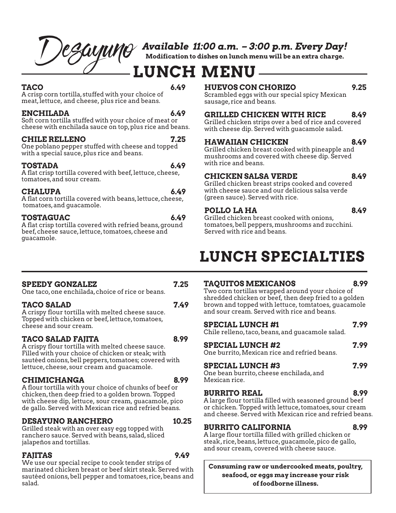## *De SayuMO* Available 11:00 a.m. - 3:00 p.m. Every Day!<br>Modification to dishes on lunch menu will be an extra charge.

**Modification to dishes on lunch menu will be an extra charge.**

## **LUNCH MENU**

**TACO 6.49** A crisp corn tortilla, stuffed with your choice of meat, lettuce, and cheese, plus rice and beans.

#### **ENCHILADA 6.49**

Soft corn tortilla stuffed with your choice of meat or cheese with enchilada sauce on top, plus rice and beans.

#### **CHILE RELLENO 7.25**

One poblano pepper stuffed with cheese and topped with a special sauce, plus rice and beans.

#### **TOSTADA 6.49**

A flat crisp tortilla covered with beef, lettuce, cheese, tomatoes, and sour cream.

#### **CHALUPA 6.49**

A flat corn tortilla covered with beans, lettuce, cheese, tomatoes, and guacamole.

#### **TOSTAGUAC 6.49**

A flat crisp tortilla covered with refried beans, ground beef, cheese sauce, lettuce, tomatoes, cheese and guacamole.

### **HUEVOS CON CHORIZO 9.25**

Scrambled eggs with our special spicy Mexican sausage, rice and beans.

#### **GRILLED CHICKEN WITH RICE 8.49**

Grilled chicken strips over a bed of rice and covered with cheese dip. Served with guacamole salad.

#### **HAWAIIAN CHICKEN 8.49**

Grilled chicken breast cooked with pineapple and mushrooms and covered with cheese dip. Served with rice and beans.

#### **CHICKEN SALSA VERDE 8.49**

Grilled chicken breast strips cooked and covered with cheese sauce and our delicious salsa verde (green sauce). Served with rice.

#### POLLO LA HA 8.49

Grilled chicken breast cooked with onions, tomatoes, bell peppers, mushrooms and zucchini. Served with rice and beans.

## **LUNCH SPECIALTIES**

#### **TAQUITOS MEXICANOS 8.99**

Two corn tortillas wrapped around your choice of shredded chicken or beef, then deep fried to a golden brown and topped with lettuce, tomtatoes, guacamole and sour cream. Served with rice and beans.

| <b>SPECIAL LUNCH #1</b> |  | 7.99 |
|-------------------------|--|------|
| $\sim$ $\sim$           |  |      |

Chile relleno, taco, beans, and guacamole salad.

#### **SPECIAL LUNCH #2 7.99**

One burrito, Mexican rice and refried beans.

#### **SPECIAL LUNCH #3 7.99**

One bean burrito, cheese enchilada, and Mexican rice.

#### **BURRITO REAL 8.99**

A large flour tortilla filled with seasoned ground beef or chicken. Topped with lettuce, tomatoes, sour cream and cheese. Served with Mexican rice and refried beans.

#### **BURRITO CALIFORNIA 8.99**

A large flour tortilla filled with grilled chicken or steak, rice, beans, lettuce, guacamole, pico de gallo, and sour cream, covered with cheese sauce.

**Consuming raw or undercooked meats, poultry, seafood, or eggs may increase your risk of foodborne illness.**

### **SPEEDY GONZALEZ 7.25**

One taco, one enchilada, choice of rice or beans.

### TACO SALAD 2.49

A crispy flour tortilla with melted cheese sauce. Topped with chicken or beef, lettuce, tomatoes, cheese and sour cream.

### **TACO SALAD FAJITA 8.99**

A crispy flour tortilla with melted cheese sauce. Filled with your choice of chicken or steak; with sautéed onions, bell peppers, tomatoes; covered with lettuce, cheese, sour cream and guacamole.

#### **CHIMICHANGA 8.99**

A flour tortilla with your choice of chunks of beef or chicken, then deep fried to a golden brown. Topped with cheese dip, lettuce, sour cream, guacamole, pico de gallo. Served with Mexican rice and refried beans.

### **DESAYUNO RANCHERO 10.25**

Grilled steak with an over easy egg topped with ranchero sauce. Served with beans, salad, sliced jalapeños and tortillas.

### **FAJITAS 9.49**

We use our special recipe to cook tender strips of marinated chicken breast or beef skirt steak. Served with sautéed onions, bell pepper and tomatoes, rice, beans and salad.